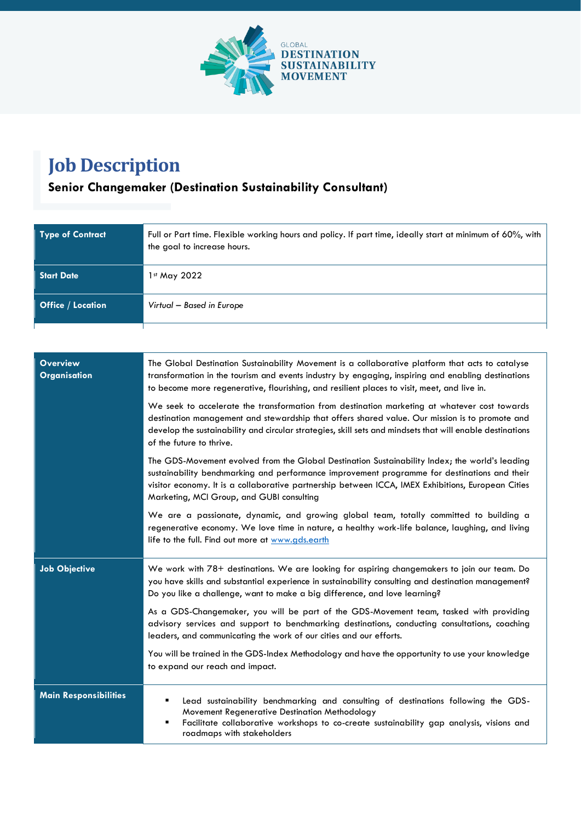

## **Job Description**

## **Senior Changemaker (Destination Sustainability Consultant)**

| <b>Type of Contract</b>  | Full or Part time. Flexible working hours and policy. If part time, ideally start at minimum of 60%, with<br>the goal to increase hours. |
|--------------------------|------------------------------------------------------------------------------------------------------------------------------------------|
| <b>Start Date</b>        | 1st May 2022                                                                                                                             |
| <b>Office / Location</b> | Virtual - Based in Europe                                                                                                                |

| <b>Overview</b><br><b>Organisation</b> | The Global Destination Sustainability Movement is a collaborative platform that acts to catalyse<br>transformation in the tourism and events industry by engaging, inspiring and enabling destinations<br>to become more regenerative, flourishing, and resilient places to visit, meet, and live in.                                             |
|----------------------------------------|---------------------------------------------------------------------------------------------------------------------------------------------------------------------------------------------------------------------------------------------------------------------------------------------------------------------------------------------------|
|                                        | We seek to accelerate the transformation from destination marketing at whatever cost towards<br>destination management and stewardship that offers shared value. Our mission is to promote and<br>develop the sustainability and circular strategies, skill sets and mindsets that will enable destinations<br>of the future to thrive.           |
|                                        | The GDS-Movement evolved from the Global Destination Sustainability Index; the world's leading<br>sustainability benchmarking and performance improvement programme for destinations and their<br>visitor economy. It is a collaborative partnership between ICCA, IMEX Exhibitions, European Cities<br>Marketing, MCI Group, and GUBI consulting |
|                                        | We are a passionate, dynamic, and growing global team, totally committed to building a<br>regenerative economy. We love time in nature, a healthy work-life balance, laughing, and living<br>life to the full. Find out more at www.gds.earth                                                                                                     |
| <b>Job Objective</b>                   | We work with 78+ destinations. We are looking for aspiring changemakers to join our team. Do<br>you have skills and substantial experience in sustainability consulting and destination management?<br>Do you like a challenge, want to make a big difference, and love learning?                                                                 |
|                                        | As a GDS-Changemaker, you will be part of the GDS-Movement team, tasked with providing<br>advisory services and support to benchmarking destinations, conducting consultations, coaching<br>leaders, and communicating the work of our cities and our efforts.                                                                                    |
|                                        | You will be trained in the GDS-Index Methodology and have the opportunity to use your knowledge<br>to expand our reach and impact.                                                                                                                                                                                                                |
| <b>Main Responsibilities</b>           | Lead sustainability benchmarking and consulting of destinations following the GDS-<br>Movement Regenerative Destination Methodology<br>Facilitate collaborative workshops to co-create sustainability gap analysis, visions and<br>Е<br>roadmaps with stakeholders                                                                                |